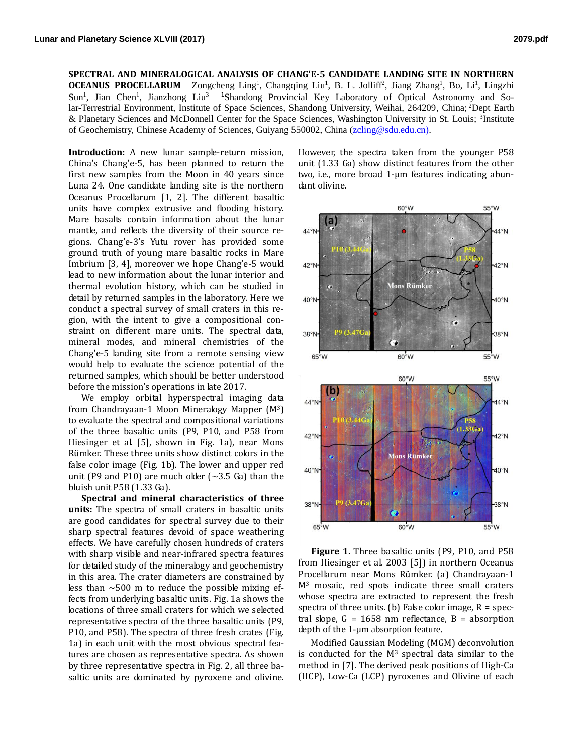**SPECTRAL AND MINERALOGICAL ANALYSIS OF CHANG'E-5 CANDIDATE LANDING SITE IN NORTHERN OCEANUS PROCELLARUM** Zongcheng Ling<sup>1</sup>, Changqing Liu<sup>1</sup>, B. L. Jolliff<sup>2</sup>, Jiang Zhang<sup>1</sup>, Bo, Li<sup>1</sup>, Lingzhi Sun<sup>1</sup>, Jian Chen<sup>1</sup>, Jianzhong Liu<sup>3</sup> <sup>1</sup>Shandong Provincial Key Laboratory of Optical Astronomy and Solar-Terrestrial Environment, Institute of Space Sciences, Shandong University, Weihai, 264209, China; <sup>2</sup>Dept Earth & Planetary Sciences and McDonnell Center for the Space Sciences, Washington University in St. Louis; <sup>3</sup>Institute of Geochemistry, Chinese Academy of Sciences, Guiyang 550002, China [\(zcling@sdu.edu.cn\).](mailto:zcling@sdu.edu.cn))

**Introduction:** A new lunar sample-return mission, China's Chang'e-5, has been planned to return the first new samples from the Moon in 40 years since Luna 24. One candidate landing site is the northern Oceanus Procellarum [1, 2]. The different basaltic units have complex extrusive and flooding history. Mare basalts contain information about the lunar mantle, and reflects the diversity of their source regions. Chang'e-3's Yutu rover has provided some ground truth of young mare basaltic rocks in Mare Imbrium [3, 4], moreover we hope Chang'e-5 would lead to new information about the lunar interior and thermal evolution history, which can be studied in detail by returned samples in the laboratory. Here we conduct a spectral survey of small craters in this region, with the intent to give a compositional constraint on different mare units. The spectral data, mineral modes, and mineral chemistries of the Chang'e-5 landing site from a remote sensing view would help to evaluate the science potential of the returned samples, which should be better understood before the mission's operations in late 2017.

We employ orbital hyperspectral imaging data from Chandrayaan-1 Moon Mineralogy Mapper (M3) to evaluate the spectral and compositional variations of the three basaltic units (P9, P10, and P58 from Hiesinger et al. [5], shown in Fig. 1a), near Mons Rümker. These three units show distinct colors in the false color image (Fig. 1b). The lower and upper red unit (P9 and P10) are much older ( $\sim$ 3.5 Ga) than the bluish unit P58 (1.33 Ga).

**Spectral and mineral characteristics of three units:** The spectra of small craters in basaltic units are good candidates for spectral survey due to their sharp spectral features devoid of space weathering effects. We have carefully chosen hundreds of craters with sharp visible and near-infrared spectra features for detailed study of the mineralogy and geochemistry in this area. The crater diameters are constrained by less than  $\sim$ 500 m to reduce the possible mixing effects from underlying basaltic units. Fig. 1a shows the locations of three small craters for which we selected representative spectra of the three basaltic units (P9, P10, and P58). The spectra of three fresh crates (Fig. 1a) in each unit with the most obvious spectral features are chosen as representative spectra. As shown by three representative spectra in Fig. 2, all three basaltic units are dominated by pyroxene and olivine.

However, the spectra taken from the younger P58 unit (1.33 Ga) show distinct features from the other two, i.e., more broad 1-μm features indicating abundant olivine.



**Figure 1.** Three basaltic units (P9, P10, and P58 from Hiesinger et al. 2003 [5]) in northern Oceanus Procellarum near Mons Rümker. (a) Chandrayaan-1 M<sup>3</sup> mosaic, red spots indicate three small craters whose spectra are extracted to represent the fresh spectra of three units. (b) False color image,  $R = spec$ tral slope,  $G = 1658$  nm reflectance,  $B =$  absorption depth of the 1-um absorption feature.

Modified Gaussian Modeling (MGM) deconvolution is conducted for the  $M<sup>3</sup>$  spectral data similar to the method in [7]. The derived peak positions of High-Ca (HCP), Low-Ca (LCP) pyroxenes and Olivine of each